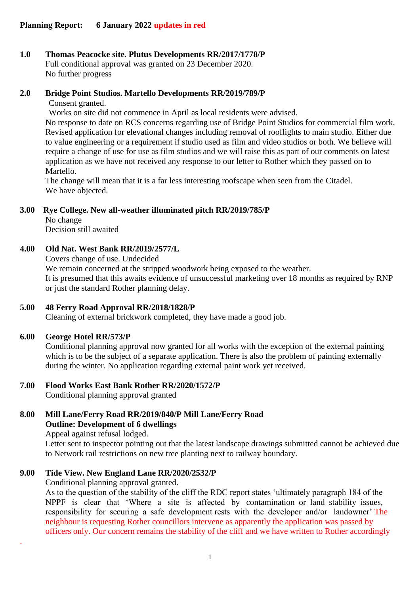# **1.0 Thomas Peacocke site. Plutus Developments RR/2017/1778/P**

Full conditional approval was granted on 23 December 2020. No further progress

# **2.0 Bridge Point Studios. Martello Developments RR/2019/789/P**

Consent granted.

Works on site did not commence in April as local residents were advised.

No response to date on RCS concerns regarding use of Bridge Point Studios for commercial film work. Revised application for elevational changes including removal of rooflights to main studio. Either due to value engineering or a requirement if studio used as film and video studios or both. We believe will require a change of use for use as film studios and we will raise this as part of our comments on latest application as we have not received any response to our letter to Rother which they passed on to Martello.

The change will mean that it is a far less interesting roofscape when seen from the Citadel. We have objected.

# **3.00 Rye College. New all-weather illuminated pitch RR/2019/785/P**

No change Decision still awaited

# **4.00 Old Nat. West Bank RR/2019/2577/L**

Covers change of use. Undecided

We remain concerned at the stripped woodwork being exposed to the weather. It is presumed that this awaits evidence of unsuccessful marketing over 18 months as required by RNP or just the standard Rother planning delay.

# **5.00 48 Ferry Road Approval RR/2018/1828/P**

Cleaning of external brickwork completed, they have made a good job.

# **6.00 George Hotel RR/573/P**

.

Conditional planning approval now granted for all works with the exception of the external painting which is to be the subject of a separate application. There is also the problem of painting externally during the winter. No application regarding external paint work yet received.

# **7.00 Flood Works East Bank Rother RR/2020/1572/P**

Conditional planning approval granted

# **8.00 Mill Lane/Ferry Road RR/2019/840/P Mill Lane/Ferry Road Outline: Development of 6 dwellings**

Appeal against refusal lodged.

Letter sent to inspector pointing out that the latest landscape drawings submitted cannot be achieved due to Network rail restrictions on new tree planting next to railway boundary.

# **9.00 Tide View. New England Lane RR/2020/2532/P**

Conditional planning approval granted.

As to the question of the stability of the cliff the RDC report states 'ultimately paragraph 184 of the NPPF is clear that 'Where a site is affected by contamination or land stability issues, responsibility for securing a safe development rests with the developer and/or landowner' The neighbour is requesting Rother councillors intervene as apparently the application was passed by officers only. Our concern remains the stability of the cliff and we have written to Rother accordingly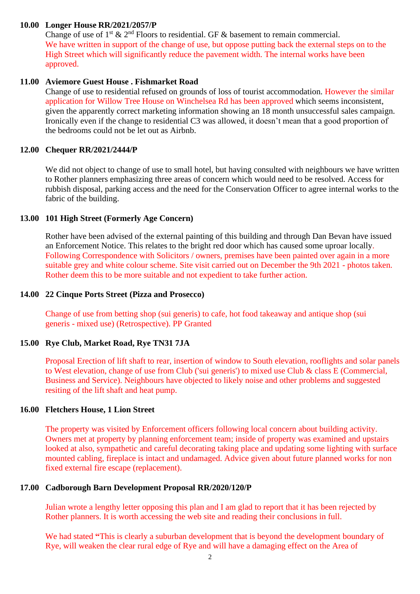### **10.00 Longer House RR/2021/2057/P**

Change of use of 1<sup>st</sup>  $\&$  2<sup>nd</sup> Floors to residential. GF  $\&$  basement to remain commercial. We have written in support of the change of use, but oppose putting back the external steps on to the High Street which will significantly reduce the pavement width. The internal works have been approved.

#### **11.00 Aviemore Guest House . Fishmarket Road**

Change of use to residential refused on grounds of loss of tourist accommodation. However the similar application for Willow Tree House on Winchelsea Rd has been approved which seems inconsistent, given the apparently correct marketing information showing an 18 month unsuccessful sales campaign. Ironically even if the change to residential C3 was allowed, it doesn't mean that a good proportion of the bedrooms could not be let out as Airbnb.

#### **12.00 Chequer RR/2021/2444/P**

We did not object to change of use to small hotel, but having consulted with neighbours we have written to Rother planners emphasizing three areas of concern which would need to be resolved. Access for rubbish disposal, parking access and the need for the Conservation Officer to agree internal works to the fabric of the building.

### **13.00 101 High Street (Formerly Age Concern)**

Rother have been advised of the external painting of this building and through Dan Bevan have issued an Enforcement Notice. This relates to the bright red door which has caused some uproar locally. Following Correspondence with Solicitors / owners, premises have been painted over again in a more suitable grey and white colour scheme. Site visit carried out on December the 9th 2021 - photos taken. Rother deem this to be more suitable and not expedient to take further action.

#### **14.00 22 Cinque Ports Street (Pizza and Prosecco)**

Change of use from betting shop (sui generis) to cafe, hot food takeaway and antique shop (sui generis - mixed use) (Retrospective). PP Granted

#### **15.00 Rye Club, Market Road, Rye TN31 7JA**

Proposal Erection of lift shaft to rear, insertion of window to South elevation, rooflights and solar panels to West elevation, change of use from Club ('sui generis') to mixed use Club & class E (Commercial, Business and Service). Neighbours have objected to likely noise and other problems and suggested resiting of the lift shaft and heat pump.

#### **16.00 Fletchers House, 1 Lion Street**

The property was visited by Enforcement officers following local concern about building activity. Owners met at property by planning enforcement team; inside of property was examined and upstairs looked at also, sympathetic and careful decorating taking place and updating some lighting with surface mounted cabling, fireplace is intact and undamaged. Advice given about future planned works for non fixed external fire escape (replacement).

#### **17.00 Cadborough Barn Development Proposal RR/2020/120/P**

Julian wrote a lengthy letter opposing this plan and I am glad to report that it has been rejected by Rother planners. It is worth accessing the web site and reading their conclusions in full.

We had stated **"**This is clearly a suburban development that is beyond the development boundary of Rye, will weaken the clear rural edge of Rye and will have a damaging effect on the Area of